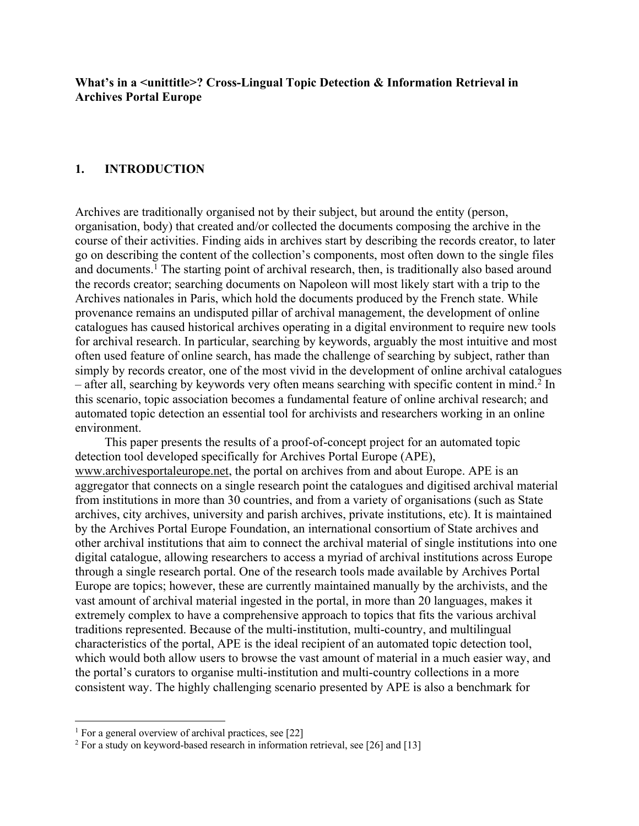**What's in a <unittitle>? Cross-Lingual Topic Detection & Information Retrieval in Archives Portal Europe**

## **1. INTRODUCTION**

Archives are traditionally organised not by their subject, but around the entity (person, organisation, body) that created and/or collected the documents composing the archive in the course of their activities. Finding aids in archives start by describing the records creator, to later go on describing the content of the collection's components, most often down to the single files and documents.<sup>1</sup> The starting point of archival research, then, is traditionally also based around the records creator; searching documents on Napoleon will most likely start with a trip to the Archives nationales in Paris, which hold the documents produced by the French state. While provenance remains an undisputed pillar of archival management, the development of online catalogues has caused historical archives operating in a digital environment to require new tools for archival research. In particular, searching by keywords, arguably the most intuitive and most often used feature of online search, has made the challenge of searching by subject, rather than simply by records creator, one of the most vivid in the development of online archival catalogues – after all, searching by keywords very often means searching with specific content in mind.2 In this scenario, topic association becomes a fundamental feature of online archival research; and automated topic detection an essential tool for archivists and researchers working in an online environment.

This paper presents the results of a proof-of-concept project for an automated topic detection tool developed specifically for Archives Portal Europe (APE), www.archivesportaleurope.net, the portal on archives from and about Europe. APE is an aggregator that connects on a single research point the catalogues and digitised archival material from institutions in more than 30 countries, and from a variety of organisations (such as State archives, city archives, university and parish archives, private institutions, etc). It is maintained by the Archives Portal Europe Foundation, an international consortium of State archives and other archival institutions that aim to connect the archival material of single institutions into one digital catalogue, allowing researchers to access a myriad of archival institutions across Europe through a single research portal. One of the research tools made available by Archives Portal Europe are topics; however, these are currently maintained manually by the archivists, and the vast amount of archival material ingested in the portal, in more than 20 languages, makes it extremely complex to have a comprehensive approach to topics that fits the various archival traditions represented. Because of the multi-institution, multi-country, and multilingual characteristics of the portal, APE is the ideal recipient of an automated topic detection tool, which would both allow users to browse the vast amount of material in a much easier way, and the portal's curators to organise multi-institution and multi-country collections in a more consistent way. The highly challenging scenario presented by APE is also a benchmark for

<sup>&</sup>lt;sup>1</sup> For a general overview of archival practices, see [22]

<sup>&</sup>lt;sup>2</sup> For a study on keyword-based research in information retrieval, see [26] and [13]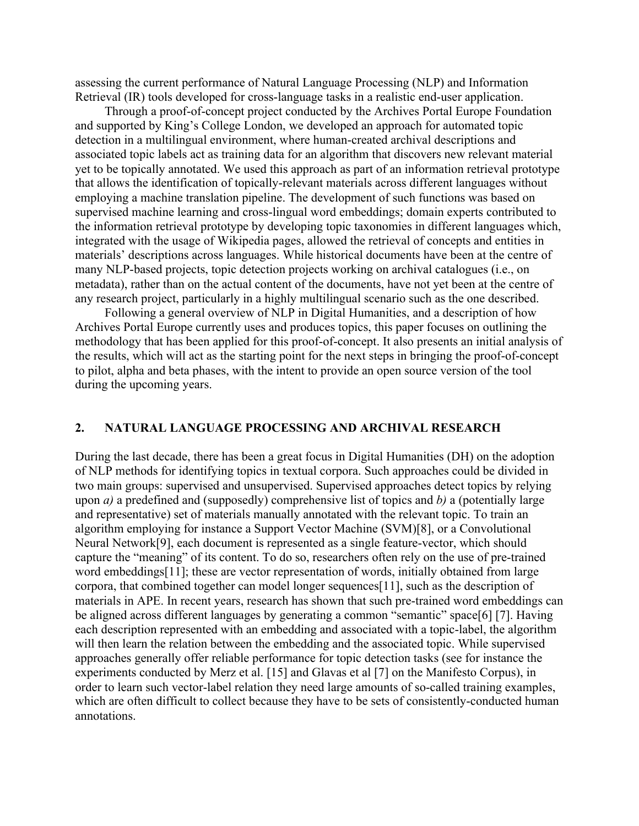assessing the current performance of Natural Language Processing (NLP) and Information Retrieval (IR) tools developed for cross-language tasks in a realistic end-user application.

Through a proof-of-concept project conducted by the Archives Portal Europe Foundation and supported by King's College London, we developed an approach for automated topic detection in a multilingual environment, where human-created archival descriptions and associated topic labels act as training data for an algorithm that discovers new relevant material yet to be topically annotated. We used this approach as part of an information retrieval prototype that allows the identification of topically-relevant materials across different languages without employing a machine translation pipeline. The development of such functions was based on supervised machine learning and cross-lingual word embeddings; domain experts contributed to the information retrieval prototype by developing topic taxonomies in different languages which, integrated with the usage of Wikipedia pages, allowed the retrieval of concepts and entities in materials' descriptions across languages. While historical documents have been at the centre of many NLP-based projects, topic detection projects working on archival catalogues (i.e., on metadata), rather than on the actual content of the documents, have not yet been at the centre of any research project, particularly in a highly multilingual scenario such as the one described.

Following a general overview of NLP in Digital Humanities, and a description of how Archives Portal Europe currently uses and produces topics, this paper focuses on outlining the methodology that has been applied for this proof-of-concept. It also presents an initial analysis of the results, which will act as the starting point for the next steps in bringing the proof-of-concept to pilot, alpha and beta phases, with the intent to provide an open source version of the tool during the upcoming years.

### **2. NATURAL LANGUAGE PROCESSING AND ARCHIVAL RESEARCH**

During the last decade, there has been a great focus in Digital Humanities (DH) on the adoption of NLP methods for identifying topics in textual corpora. Such approaches could be divided in two main groups: supervised and unsupervised. Supervised approaches detect topics by relying upon *a)* a predefined and (supposedly) comprehensive list of topics and *b)* a (potentially large and representative) set of materials manually annotated with the relevant topic. To train an algorithm employing for instance a Support Vector Machine (SVM)[8], or a Convolutional Neural Network[9], each document is represented as a single feature-vector, which should capture the "meaning" of its content. To do so, researchers often rely on the use of pre-trained word embeddings[11]; these are vector representation of words, initially obtained from large corpora, that combined together can model longer sequences[11], such as the description of materials in APE. In recent years, research has shown that such pre-trained word embeddings can be aligned across different languages by generating a common "semantic" space[6] [7]. Having each description represented with an embedding and associated with a topic-label, the algorithm will then learn the relation between the embedding and the associated topic. While supervised approaches generally offer reliable performance for topic detection tasks (see for instance the experiments conducted by Merz et al. [15] and Glavas et al [7] on the Manifesto Corpus), in order to learn such vector-label relation they need large amounts of so-called training examples, which are often difficult to collect because they have to be sets of consistently-conducted human annotations.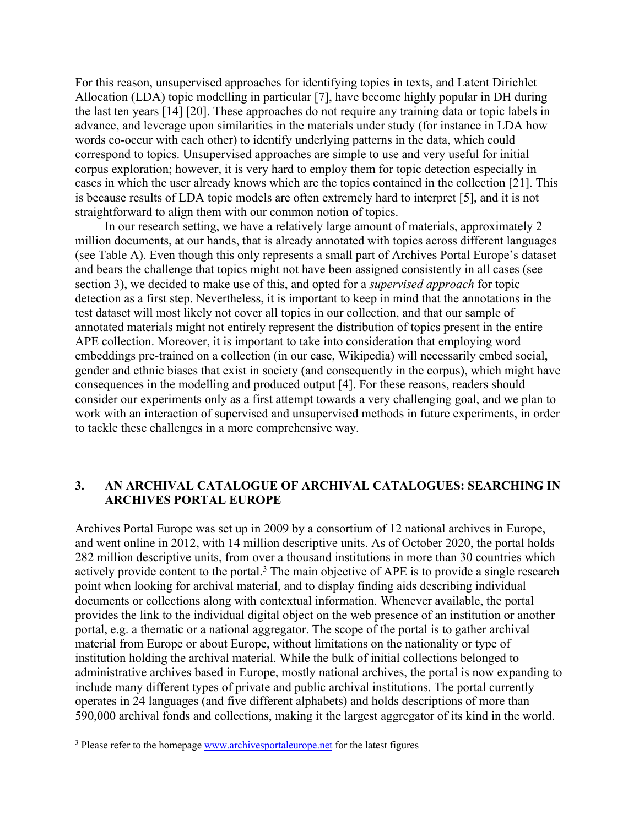For this reason, unsupervised approaches for identifying topics in texts, and Latent Dirichlet Allocation (LDA) topic modelling in particular [7], have become highly popular in DH during the last ten years [14] [20]. These approaches do not require any training data or topic labels in advance, and leverage upon similarities in the materials under study (for instance in LDA how words co-occur with each other) to identify underlying patterns in the data, which could correspond to topics. Unsupervised approaches are simple to use and very useful for initial corpus exploration; however, it is very hard to employ them for topic detection especially in cases in which the user already knows which are the topics contained in the collection [21]. This is because results of LDA topic models are often extremely hard to interpret [5], and it is not straightforward to align them with our common notion of topics.

In our research setting, we have a relatively large amount of materials, approximately 2 million documents, at our hands, that is already annotated with topics across different languages (see Table A). Even though this only represents a small part of Archives Portal Europe's dataset and bears the challenge that topics might not have been assigned consistently in all cases (see section 3), we decided to make use of this, and opted for a *supervised approach* for topic detection as a first step. Nevertheless, it is important to keep in mind that the annotations in the test dataset will most likely not cover all topics in our collection, and that our sample of annotated materials might not entirely represent the distribution of topics present in the entire APE collection. Moreover, it is important to take into consideration that employing word embeddings pre-trained on a collection (in our case, Wikipedia) will necessarily embed social, gender and ethnic biases that exist in society (and consequently in the corpus), which might have consequences in the modelling and produced output [4]. For these reasons, readers should consider our experiments only as a first attempt towards a very challenging goal, and we plan to work with an interaction of supervised and unsupervised methods in future experiments, in order to tackle these challenges in a more comprehensive way.

## **3. AN ARCHIVAL CATALOGUE OF ARCHIVAL CATALOGUES: SEARCHING IN ARCHIVES PORTAL EUROPE**

Archives Portal Europe was set up in 2009 by a consortium of 12 national archives in Europe, and went online in 2012, with 14 million descriptive units. As of October 2020, the portal holds 282 million descriptive units, from over a thousand institutions in more than 30 countries which actively provide content to the portal.<sup>3</sup> The main objective of APE is to provide a single research point when looking for archival material, and to display finding aids describing individual documents or collections along with contextual information. Whenever available, the portal provides the link to the individual digital object on the web presence of an institution or another portal, e.g. a thematic or a national aggregator. The scope of the portal is to gather archival material from Europe or about Europe, without limitations on the nationality or type of institution holding the archival material. While the bulk of initial collections belonged to administrative archives based in Europe, mostly national archives, the portal is now expanding to include many different types of private and public archival institutions. The portal currently operates in 24 languages (and five different alphabets) and holds descriptions of more than 590,000 archival fonds and collections, making it the largest aggregator of its kind in the world.

<sup>&</sup>lt;sup>3</sup> Please refer to the homepage www.archivesportaleurope.net for the latest figures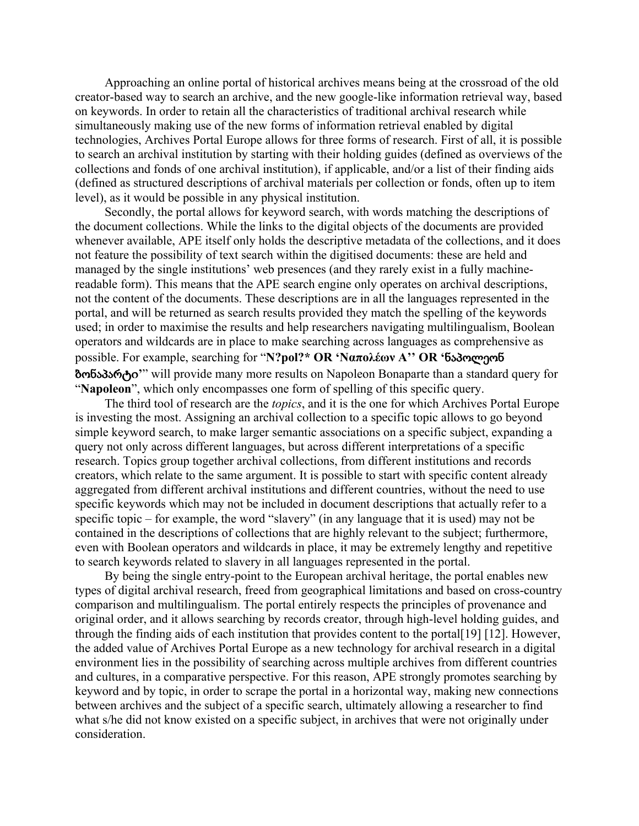Approaching an online portal of historical archives means being at the crossroad of the old creator-based way to search an archive, and the new google-like information retrieval way, based on keywords. In order to retain all the characteristics of traditional archival research while simultaneously making use of the new forms of information retrieval enabled by digital technologies, Archives Portal Europe allows for three forms of research. First of all, it is possible to search an archival institution by starting with their holding guides (defined as overviews of the collections and fonds of one archival institution), if applicable, and/or a list of their finding aids (defined as structured descriptions of archival materials per collection or fonds, often up to item level), as it would be possible in any physical institution.

Secondly, the portal allows for keyword search, with words matching the descriptions of the document collections. While the links to the digital objects of the documents are provided whenever available, APE itself only holds the descriptive metadata of the collections, and it does not feature the possibility of text search within the digitised documents: these are held and managed by the single institutions' web presences (and they rarely exist in a fully machinereadable form). This means that the APE search engine only operates on archival descriptions, not the content of the documents. These descriptions are in all the languages represented in the portal, and will be returned as search results provided they match the spelling of the keywords used; in order to maximise the results and help researchers navigating multilingualism, Boolean operators and wildcards are in place to make searching across languages as comprehensive as possible. For example, searching for "**N?pol?\* OR 'Ναπολέων A'' OR '**ნაპოლეონ ბონაპარტი**'**" will provide many more results on Napoleon Bonaparte than a standard query for "**Napoleon**", which only encompasses one form of spelling of this specific query.

The third tool of research are the *topics*, and it is the one for which Archives Portal Europe is investing the most. Assigning an archival collection to a specific topic allows to go beyond simple keyword search, to make larger semantic associations on a specific subject, expanding a query not only across different languages, but across different interpretations of a specific research. Topics group together archival collections, from different institutions and records creators, which relate to the same argument. It is possible to start with specific content already aggregated from different archival institutions and different countries, without the need to use specific keywords which may not be included in document descriptions that actually refer to a specific topic – for example, the word "slavery" (in any language that it is used) may not be contained in the descriptions of collections that are highly relevant to the subject; furthermore, even with Boolean operators and wildcards in place, it may be extremely lengthy and repetitive to search keywords related to slavery in all languages represented in the portal.

By being the single entry-point to the European archival heritage, the portal enables new types of digital archival research, freed from geographical limitations and based on cross-country comparison and multilingualism. The portal entirely respects the principles of provenance and original order, and it allows searching by records creator, through high-level holding guides, and through the finding aids of each institution that provides content to the portal[19] [12]. However, the added value of Archives Portal Europe as a new technology for archival research in a digital environment lies in the possibility of searching across multiple archives from different countries and cultures, in a comparative perspective. For this reason, APE strongly promotes searching by keyword and by topic, in order to scrape the portal in a horizontal way, making new connections between archives and the subject of a specific search, ultimately allowing a researcher to find what s/he did not know existed on a specific subject, in archives that were not originally under consideration.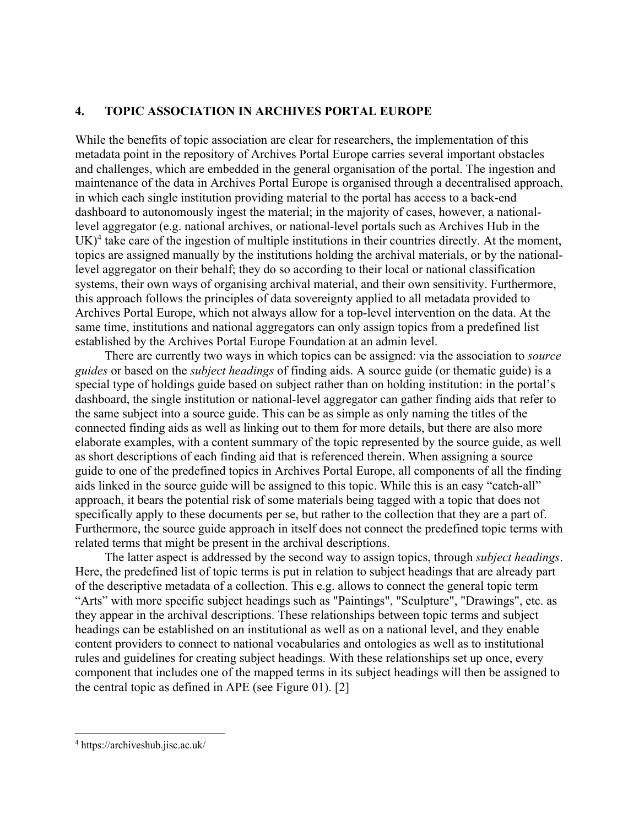## **4. TOPIC ASSOCIATION IN ARCHIVES PORTAL EUROPE**

While the benefits of topic association are clear for researchers, the implementation of this metadata point in the repository of Archives Portal Europe carries several important obstacles and challenges, which are embedded in the general organisation of the portal. The ingestion and maintenance of the data in Archives Portal Europe is organised through a decentralised approach, in which each single institution providing material to the portal has access to a back-end dashboard to autonomously ingest the material; in the majority of cases, however, a nationallevel aggregator (e.g. national archives, or national-level portals such as Archives Hub in the  $UK)^4$  take care of the ingestion of multiple institutions in their countries directly. At the moment, topics are assigned manually by the institutions holding the archival materials, or by the nationallevel aggregator on their behalf; they do so according to their local or national classification systems, their own ways of organising archival material, and their own sensitivity. Furthermore, this approach follows the principles of data sovereignty applied to all metadata provided to Archives Portal Europe, which not always allow for a top-level intervention on the data. At the same time, institutions and national aggregators can only assign topics from a predefined list established by the Archives Portal Europe Foundation at an admin level.

There are currently two ways in which topics can be assigned: via the association to *source guides* or based on the *subject headings* of finding aids. A source guide (or thematic guide) is a special type of holdings guide based on subject rather than on holding institution: in the portal's dashboard, the single institution or national-level aggregator can gather finding aids that refer to the same subject into a source guide. This can be as simple as only naming the titles of the connected finding aids as well as linking out to them for more details, but there are also more elaborate examples, with a content summary of the topic represented by the source guide, as well as short descriptions of each finding aid that is referenced therein. When assigning a source guide to one of the predefined topics in Archives Portal Europe, all components of all the finding aids linked in the source guide will be assigned to this topic. While this is an easy "catch-all" approach, it bears the potential risk of some materials being tagged with a topic that does not specifically apply to these documents per se, but rather to the collection that they are a part of. Furthermore, the source guide approach in itself does not connect the predefined topic terms with related terms that might be present in the archival descriptions.

The latter aspect is addressed by the second way to assign topics, through *subject headings*. Here, the predefined list of topic terms is put in relation to subject headings that are already part of the descriptive metadata of a collection. This e.g. allows to connect the general topic term "Arts" with more specific subject headings such as "Paintings", "Sculpture", "Drawings", etc. as they appear in the archival descriptions. These relationships between topic terms and subject headings can be established on an institutional as well as on a national level, and they enable content providers to connect to national vocabularies and ontologies as well as to institutional rules and guidelines for creating subject headings. With these relationships set up once, every component that includes one of the mapped terms in its subject headings will then be assigned to the central topic as defined in APE (see Figure 01). [2]

<sup>4</sup> https://archiveshub.jisc.ac.uk/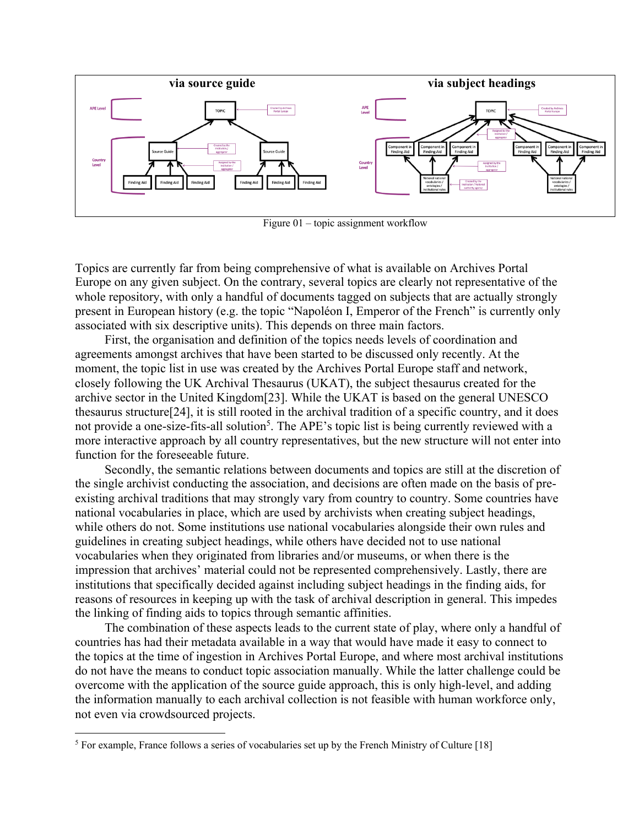

Figure 01 – topic assignment workflow

Topics are currently far from being comprehensive of what is available on Archives Portal Europe on any given subject. On the contrary, several topics are clearly not representative of the whole repository, with only a handful of documents tagged on subjects that are actually strongly present in European history (e.g. the topic "Napoléon I, Emperor of the French" is currently only associated with six descriptive units). This depends on three main factors.

First, the organisation and definition of the topics needs levels of coordination and agreements amongst archives that have been started to be discussed only recently. At the moment, the topic list in use was created by the Archives Portal Europe staff and network, closely following the UK Archival Thesaurus (UKAT), the subject thesaurus created for the archive sector in the United Kingdom[23]. While the UKAT is based on the general UNESCO thesaurus structure[24], it is still rooted in the archival tradition of a specific country, and it does not provide a one-size-fits-all solution<sup>5</sup>. The APE's topic list is being currently reviewed with a more interactive approach by all country representatives, but the new structure will not enter into function for the foreseeable future.

Secondly, the semantic relations between documents and topics are still at the discretion of the single archivist conducting the association, and decisions are often made on the basis of preexisting archival traditions that may strongly vary from country to country. Some countries have national vocabularies in place, which are used by archivists when creating subject headings, while others do not. Some institutions use national vocabularies alongside their own rules and guidelines in creating subject headings, while others have decided not to use national vocabularies when they originated from libraries and/or museums, or when there is the impression that archives' material could not be represented comprehensively. Lastly, there are institutions that specifically decided against including subject headings in the finding aids, for reasons of resources in keeping up with the task of archival description in general. This impedes the linking of finding aids to topics through semantic affinities.

The combination of these aspects leads to the current state of play, where only a handful of countries has had their metadata available in a way that would have made it easy to connect to the topics at the time of ingestion in Archives Portal Europe, and where most archival institutions do not have the means to conduct topic association manually. While the latter challenge could be overcome with the application of the source guide approach, this is only high-level, and adding the information manually to each archival collection is not feasible with human workforce only, not even via crowdsourced projects.

<sup>&</sup>lt;sup>5</sup> For example, France follows a series of vocabularies set up by the French Ministry of Culture [18]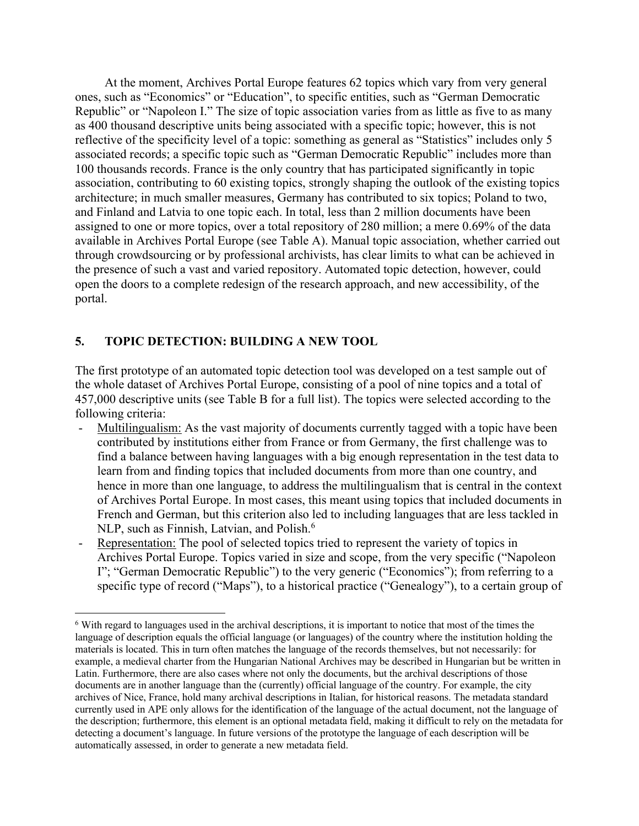At the moment, Archives Portal Europe features 62 topics which vary from very general ones, such as "Economics" or "Education", to specific entities, such as "German Democratic Republic" or "Napoleon I." The size of topic association varies from as little as five to as many as 400 thousand descriptive units being associated with a specific topic; however, this is not reflective of the specificity level of a topic: something as general as "Statistics" includes only 5 associated records; a specific topic such as "German Democratic Republic" includes more than 100 thousands records. France is the only country that has participated significantly in topic association, contributing to 60 existing topics, strongly shaping the outlook of the existing topics architecture; in much smaller measures, Germany has contributed to six topics; Poland to two, and Finland and Latvia to one topic each. In total, less than 2 million documents have been assigned to one or more topics, over a total repository of 280 million; a mere 0.69% of the data available in Archives Portal Europe (see Table A). Manual topic association, whether carried out through crowdsourcing or by professional archivists, has clear limits to what can be achieved in the presence of such a vast and varied repository. Automated topic detection, however, could open the doors to a complete redesign of the research approach, and new accessibility, of the portal.

# **5. TOPIC DETECTION: BUILDING A NEW TOOL**

The first prototype of an automated topic detection tool was developed on a test sample out of the whole dataset of Archives Portal Europe, consisting of a pool of nine topics and a total of 457,000 descriptive units (see Table B for a full list). The topics were selected according to the following criteria:

- Multilingualism: As the vast majority of documents currently tagged with a topic have been contributed by institutions either from France or from Germany, the first challenge was to find a balance between having languages with a big enough representation in the test data to learn from and finding topics that included documents from more than one country, and hence in more than one language, to address the multilingualism that is central in the context of Archives Portal Europe. In most cases, this meant using topics that included documents in French and German, but this criterion also led to including languages that are less tackled in NLP, such as Finnish, Latvian, and Polish.<sup>6</sup>
- Representation: The pool of selected topics tried to represent the variety of topics in Archives Portal Europe. Topics varied in size and scope, from the very specific ("Napoleon I"; "German Democratic Republic") to the very generic ("Economics"); from referring to a specific type of record ("Maps"), to a historical practice ("Genealogy"), to a certain group of

<sup>6</sup> With regard to languages used in the archival descriptions, it is important to notice that most of the times the language of description equals the official language (or languages) of the country where the institution holding the materials is located. This in turn often matches the language of the records themselves, but not necessarily: for example, a medieval charter from the Hungarian National Archives may be described in Hungarian but be written in Latin. Furthermore, there are also cases where not only the documents, but the archival descriptions of those documents are in another language than the (currently) official language of the country. For example, the city archives of Nice, France, hold many archival descriptions in Italian, for historical reasons. The metadata standard currently used in APE only allows for the identification of the language of the actual document, not the language of the description; furthermore, this element is an optional metadata field, making it difficult to rely on the metadata for detecting a document's language. In future versions of the prototype the language of each description will be automatically assessed, in order to generate a new metadata field.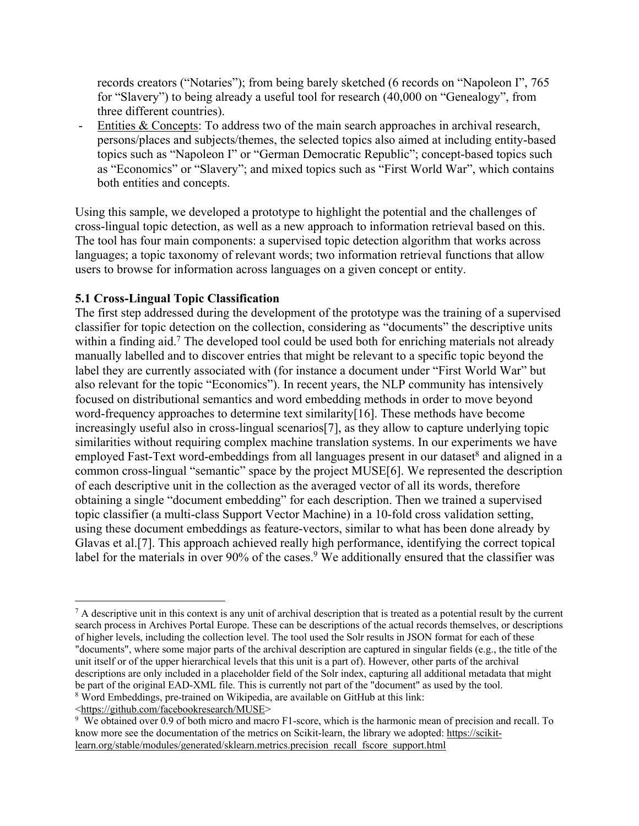records creators ("Notaries"); from being barely sketched (6 records on "Napoleon I", 765 for "Slavery") to being already a useful tool for research (40,000 on "Genealogy", from three different countries).

- Entities & Concepts: To address two of the main search approaches in archival research, persons/places and subjects/themes, the selected topics also aimed at including entity-based topics such as "Napoleon I" or "German Democratic Republic"; concept-based topics such as "Economics" or "Slavery"; and mixed topics such as "First World War", which contains both entities and concepts.

Using this sample, we developed a prototype to highlight the potential and the challenges of cross-lingual topic detection, as well as a new approach to information retrieval based on this. The tool has four main components: a supervised topic detection algorithm that works across languages; a topic taxonomy of relevant words; two information retrieval functions that allow users to browse for information across languages on a given concept or entity.

# **5.1 Cross-Lingual Topic Classification**

The first step addressed during the development of the prototype was the training of a supervised classifier for topic detection on the collection, considering as "documents" the descriptive units within a finding aid.<sup>7</sup> The developed tool could be used both for enriching materials not already manually labelled and to discover entries that might be relevant to a specific topic beyond the label they are currently associated with (for instance a document under "First World War" but also relevant for the topic "Economics"). In recent years, the NLP community has intensively focused on distributional semantics and word embedding methods in order to move beyond word-frequency approaches to determine text similarity[16]. These methods have become increasingly useful also in cross-lingual scenarios[7], as they allow to capture underlying topic similarities without requiring complex machine translation systems. In our experiments we have employed Fast-Text word-embeddings from all languages present in our dataset $\delta$  and aligned in a common cross-lingual "semantic" space by the project MUSE[6]. We represented the description of each descriptive unit in the collection as the averaged vector of all its words, therefore obtaining a single "document embedding" for each description. Then we trained a supervised topic classifier (a multi-class Support Vector Machine) in a 10-fold cross validation setting, using these document embeddings as feature-vectors, similar to what has been done already by Glavas et al.[7]. This approach achieved really high performance, identifying the correct topical label for the materials in over 90% of the cases.<sup>9</sup> We additionally ensured that the classifier was

 $<sup>7</sup>$  A descriptive unit in this context is any unit of archival description that is treated as a potential result by the current</sup> search process in Archives Portal Europe. These can be descriptions of the actual records themselves, or descriptions of higher levels, including the collection level. The tool used the Solr results in JSON format for each of these "documents", where some major parts of the archival description are captured in singular fields (e.g., the title of the unit itself or of the upper hierarchical levels that this unit is a part of). However, other parts of the archival descriptions are only included in a placeholder field of the Solr index, capturing all additional metadata that might be part of the original EAD-XML file. This is currently not part of the "document" as used by the tool. <sup>8</sup> Word Embeddings, pre-trained on Wikipedia, are available on GitHub at this link:

<sup>&</sup>lt;https://github.com/facebookresearch/MUSE>

<sup>&</sup>lt;sup>9</sup> We obtained over 0.9 of both micro and macro F1-score, which is the harmonic mean of precision and recall. To know more see the documentation of the metrics on Scikit-learn, the library we adopted: https://scikitlearn.org/stable/modules/generated/sklearn.metrics.precision\_recall\_fscore\_support.html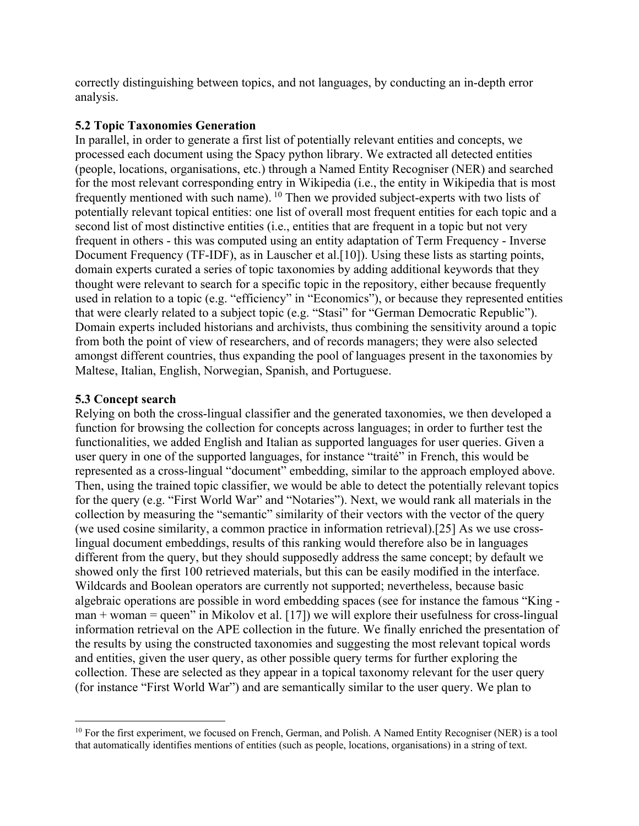correctly distinguishing between topics, and not languages, by conducting an in-depth error analysis.

## **5.2 Topic Taxonomies Generation**

In parallel, in order to generate a first list of potentially relevant entities and concepts, we processed each document using the Spacy python library. We extracted all detected entities (people, locations, organisations, etc.) through a Named Entity Recogniser (NER) and searched for the most relevant corresponding entry in Wikipedia (i.e., the entity in Wikipedia that is most frequently mentioned with such name). <sup>10</sup> Then we provided subject-experts with two lists of potentially relevant topical entities: one list of overall most frequent entities for each topic and a second list of most distinctive entities (i.e., entities that are frequent in a topic but not very frequent in others - this was computed using an entity adaptation of Term Frequency - Inverse Document Frequency (TF-IDF), as in Lauscher et al. [10]). Using these lists as starting points, domain experts curated a series of topic taxonomies by adding additional keywords that they thought were relevant to search for a specific topic in the repository, either because frequently used in relation to a topic (e.g. "efficiency" in "Economics"), or because they represented entities that were clearly related to a subject topic (e.g. "Stasi" for "German Democratic Republic"). Domain experts included historians and archivists, thus combining the sensitivity around a topic from both the point of view of researchers, and of records managers; they were also selected amongst different countries, thus expanding the pool of languages present in the taxonomies by Maltese, Italian, English, Norwegian, Spanish, and Portuguese.

# **5.3 Concept search**

Relying on both the cross-lingual classifier and the generated taxonomies, we then developed a function for browsing the collection for concepts across languages; in order to further test the functionalities, we added English and Italian as supported languages for user queries. Given a user query in one of the supported languages, for instance "traité" in French, this would be represented as a cross-lingual "document" embedding, similar to the approach employed above. Then, using the trained topic classifier, we would be able to detect the potentially relevant topics for the query (e.g. "First World War" and "Notaries"). Next, we would rank all materials in the collection by measuring the "semantic" similarity of their vectors with the vector of the query (we used cosine similarity, a common practice in information retrieval).[25] As we use crosslingual document embeddings, results of this ranking would therefore also be in languages different from the query, but they should supposedly address the same concept; by default we showed only the first 100 retrieved materials, but this can be easily modified in the interface. Wildcards and Boolean operators are currently not supported; nevertheless, because basic algebraic operations are possible in word embedding spaces (see for instance the famous "King  $man + woman = queen$ " in Mikolov et al. [17]) we will explore their usefulness for cross-lingual information retrieval on the APE collection in the future. We finally enriched the presentation of the results by using the constructed taxonomies and suggesting the most relevant topical words and entities, given the user query, as other possible query terms for further exploring the collection. These are selected as they appear in a topical taxonomy relevant for the user query (for instance "First World War") and are semantically similar to the user query. We plan to

 $10$  For the first experiment, we focused on French, German, and Polish. A Named Entity Recogniser (NER) is a tool that automatically identifies mentions of entities (such as people, locations, organisations) in a string of text.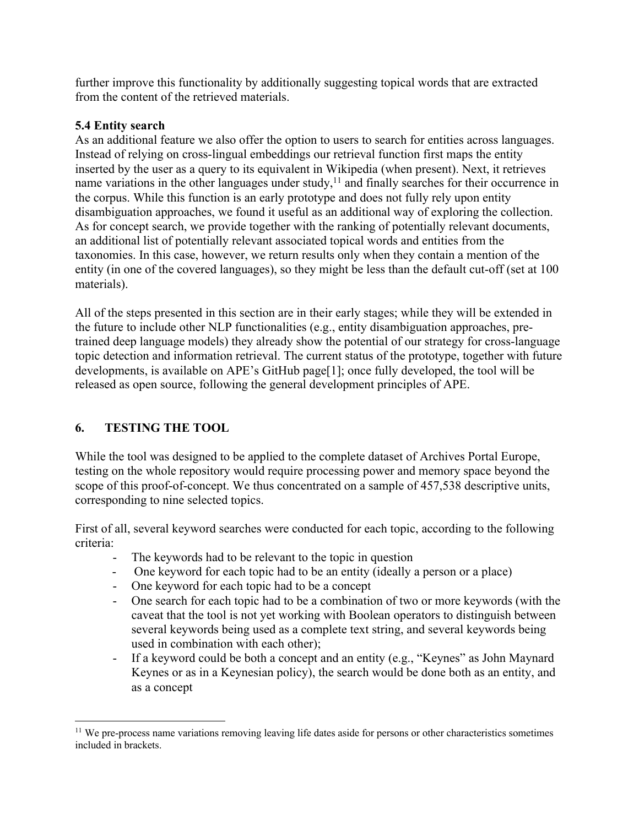further improve this functionality by additionally suggesting topical words that are extracted from the content of the retrieved materials.

# **5.4 Entity search**

As an additional feature we also offer the option to users to search for entities across languages. Instead of relying on cross-lingual embeddings our retrieval function first maps the entity inserted by the user as a query to its equivalent in Wikipedia (when present). Next, it retrieves name variations in the other languages under study,<sup>11</sup> and finally searches for their occurrence in the corpus. While this function is an early prototype and does not fully rely upon entity disambiguation approaches, we found it useful as an additional way of exploring the collection. As for concept search, we provide together with the ranking of potentially relevant documents, an additional list of potentially relevant associated topical words and entities from the taxonomies. In this case, however, we return results only when they contain a mention of the entity (in one of the covered languages), so they might be less than the default cut-off (set at 100 materials).

All of the steps presented in this section are in their early stages; while they will be extended in the future to include other NLP functionalities (e.g., entity disambiguation approaches, pretrained deep language models) they already show the potential of our strategy for cross-language topic detection and information retrieval. The current status of the prototype, together with future developments, is available on APE's GitHub page[1]; once fully developed, the tool will be released as open source, following the general development principles of APE.

# **6. TESTING THE TOOL**

While the tool was designed to be applied to the complete dataset of Archives Portal Europe, testing on the whole repository would require processing power and memory space beyond the scope of this proof-of-concept. We thus concentrated on a sample of 457,538 descriptive units, corresponding to nine selected topics.

First of all, several keyword searches were conducted for each topic, according to the following criteria:

- The keywords had to be relevant to the topic in question
- One keyword for each topic had to be an entity (ideally a person or a place)
- One keyword for each topic had to be a concept
- One search for each topic had to be a combination of two or more keywords (with the caveat that the tool is not yet working with Boolean operators to distinguish between several keywords being used as a complete text string, and several keywords being used in combination with each other);
- If a keyword could be both a concept and an entity (e.g., "Keynes" as John Maynard Keynes or as in a Keynesian policy), the search would be done both as an entity, and as a concept

<sup>&</sup>lt;sup>11</sup> We pre-process name variations removing leaving life dates aside for persons or other characteristics sometimes included in brackets.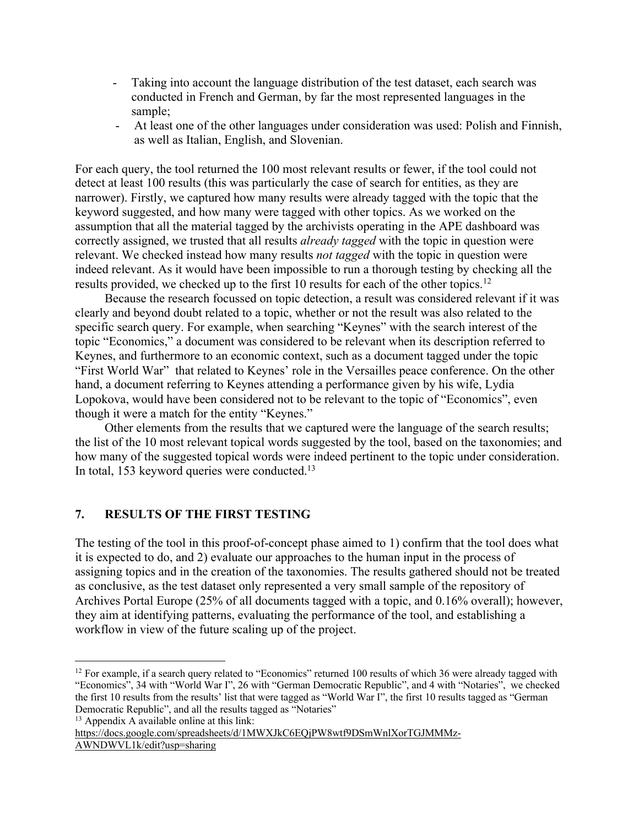- Taking into account the language distribution of the test dataset, each search was conducted in French and German, by far the most represented languages in the sample;
- At least one of the other languages under consideration was used: Polish and Finnish, as well as Italian, English, and Slovenian.

For each query, the tool returned the 100 most relevant results or fewer, if the tool could not detect at least 100 results (this was particularly the case of search for entities, as they are narrower). Firstly, we captured how many results were already tagged with the topic that the keyword suggested, and how many were tagged with other topics. As we worked on the assumption that all the material tagged by the archivists operating in the APE dashboard was correctly assigned, we trusted that all results *already tagged* with the topic in question were relevant. We checked instead how many results *not tagged* with the topic in question were indeed relevant. As it would have been impossible to run a thorough testing by checking all the results provided, we checked up to the first 10 results for each of the other topics.<sup>12</sup>

Because the research focussed on topic detection, a result was considered relevant if it was clearly and beyond doubt related to a topic, whether or not the result was also related to the specific search query. For example, when searching "Keynes" with the search interest of the topic "Economics," a document was considered to be relevant when its description referred to Keynes, and furthermore to an economic context, such as a document tagged under the topic "First World War" that related to Keynes' role in the Versailles peace conference. On the other hand, a document referring to Keynes attending a performance given by his wife, Lydia Lopokova, would have been considered not to be relevant to the topic of "Economics", even though it were a match for the entity "Keynes."

Other elements from the results that we captured were the language of the search results; the list of the 10 most relevant topical words suggested by the tool, based on the taxonomies; and how many of the suggested topical words were indeed pertinent to the topic under consideration. In total, 153 keyword queries were conducted.<sup>13</sup>

## **7. RESULTS OF THE FIRST TESTING**

The testing of the tool in this proof-of-concept phase aimed to 1) confirm that the tool does what it is expected to do, and 2) evaluate our approaches to the human input in the process of assigning topics and in the creation of the taxonomies. The results gathered should not be treated as conclusive, as the test dataset only represented a very small sample of the repository of Archives Portal Europe (25% of all documents tagged with a topic, and 0.16% overall); however, they aim at identifying patterns, evaluating the performance of the tool, and establishing a workflow in view of the future scaling up of the project.

<sup>13</sup> Appendix A available online at this link:

https://docs.google.com/spreadsheets/d/1MWXJkC6EQjPW8wtf9DSmWnlXorTGJMMMz-AWNDWVL1k/edit?usp=sharing

 $12$  For example, if a search query related to "Economics" returned 100 results of which 36 were already tagged with "Economics", 34 with "World War I", 26 with "German Democratic Republic", and 4 with "Notaries", we checked the first 10 results from the results' list that were tagged as "World War I", the first 10 results tagged as "German Democratic Republic", and all the results tagged as "Notaries"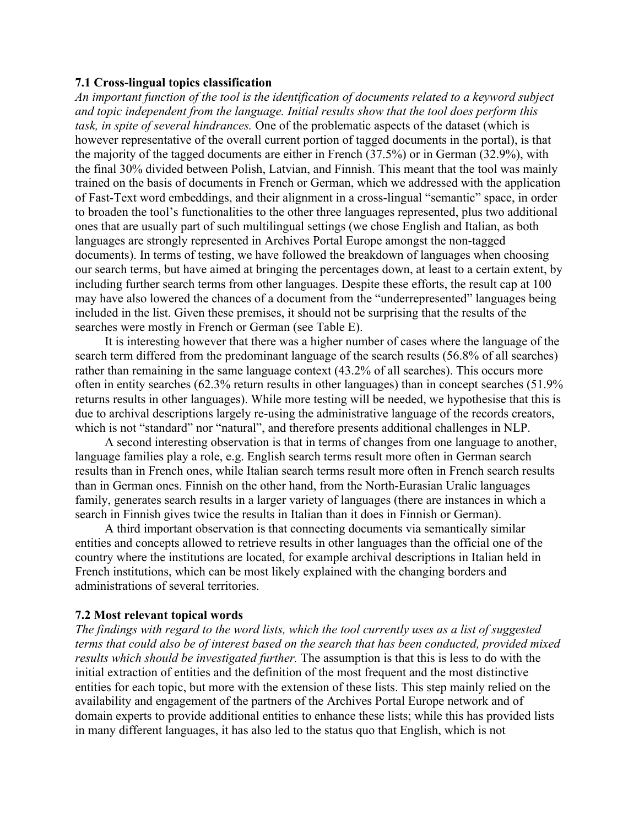### **7.1 Cross-lingual topics classification**

*An important function of the tool is the identification of documents related to a keyword subject and topic independent from the language. Initial results show that the tool does perform this task, in spite of several hindrances.* One of the problematic aspects of the dataset (which is however representative of the overall current portion of tagged documents in the portal), is that the majority of the tagged documents are either in French (37.5%) or in German (32.9%), with the final 30% divided between Polish, Latvian, and Finnish. This meant that the tool was mainly trained on the basis of documents in French or German, which we addressed with the application of Fast-Text word embeddings, and their alignment in a cross-lingual "semantic" space, in order to broaden the tool's functionalities to the other three languages represented, plus two additional ones that are usually part of such multilingual settings (we chose English and Italian, as both languages are strongly represented in Archives Portal Europe amongst the non-tagged documents). In terms of testing, we have followed the breakdown of languages when choosing our search terms, but have aimed at bringing the percentages down, at least to a certain extent, by including further search terms from other languages. Despite these efforts, the result cap at 100 may have also lowered the chances of a document from the "underrepresented" languages being included in the list. Given these premises, it should not be surprising that the results of the searches were mostly in French or German (see Table E).

It is interesting however that there was a higher number of cases where the language of the search term differed from the predominant language of the search results (56.8% of all searches) rather than remaining in the same language context (43.2% of all searches). This occurs more often in entity searches (62.3% return results in other languages) than in concept searches (51.9% returns results in other languages). While more testing will be needed, we hypothesise that this is due to archival descriptions largely re-using the administrative language of the records creators, which is not "standard" nor "natural", and therefore presents additional challenges in NLP.

A second interesting observation is that in terms of changes from one language to another, language families play a role, e.g. English search terms result more often in German search results than in French ones, while Italian search terms result more often in French search results than in German ones. Finnish on the other hand, from the North-Eurasian Uralic languages family, generates search results in a larger variety of languages (there are instances in which a search in Finnish gives twice the results in Italian than it does in Finnish or German).

A third important observation is that connecting documents via semantically similar entities and concepts allowed to retrieve results in other languages than the official one of the country where the institutions are located, for example archival descriptions in Italian held in French institutions, which can be most likely explained with the changing borders and administrations of several territories.

### **7.2 Most relevant topical words**

*The findings with regard to the word lists, which the tool currently uses as a list of suggested terms that could also be of interest based on the search that has been conducted, provided mixed results which should be investigated further.* The assumption is that this is less to do with the initial extraction of entities and the definition of the most frequent and the most distinctive entities for each topic, but more with the extension of these lists. This step mainly relied on the availability and engagement of the partners of the Archives Portal Europe network and of domain experts to provide additional entities to enhance these lists; while this has provided lists in many different languages, it has also led to the status quo that English, which is not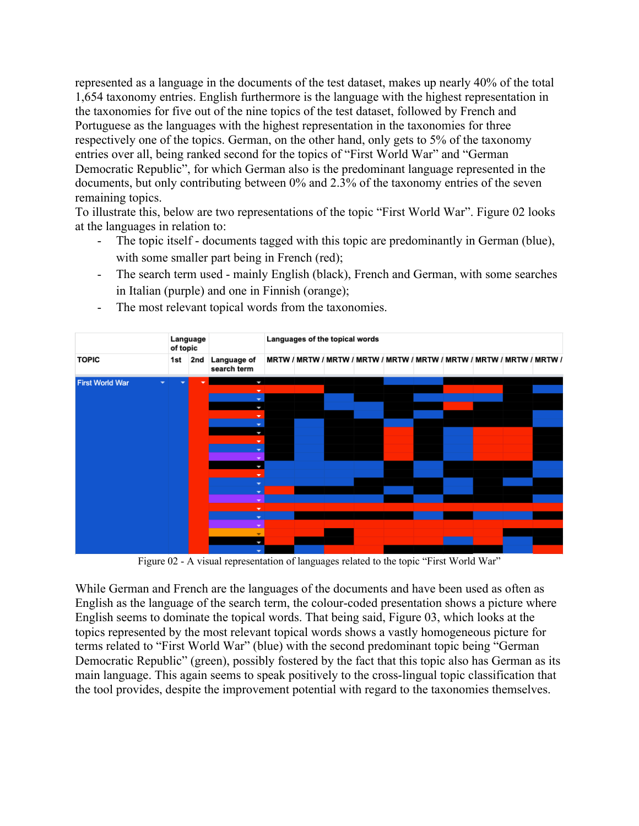represented as a language in the documents of the test dataset, makes up nearly 40% of the total 1,654 taxonomy entries. English furthermore is the language with the highest representation in the taxonomies for five out of the nine topics of the test dataset, followed by French and Portuguese as the languages with the highest representation in the taxonomies for three respectively one of the topics. German, on the other hand, only gets to 5% of the taxonomy entries over all, being ranked second for the topics of "First World War" and "German Democratic Republic", for which German also is the predominant language represented in the documents, but only contributing between 0% and 2.3% of the taxonomy entries of the seven remaining topics.

To illustrate this, below are two representations of the topic "First World War". Figure 02 looks at the languages in relation to:

- The topic itself documents tagged with this topic are predominantly in German (blue), with some smaller part being in French (red);
- The search term used mainly English (black), French and German, with some searches in Italian (purple) and one in Finnish (orange);



The most relevant topical words from the taxonomies.

Figure 02 - A visual representation of languages related to the topic "First World War"

While German and French are the languages of the documents and have been used as often as English as the language of the search term, the colour-coded presentation shows a picture where English seems to dominate the topical words. That being said, Figure 03, which looks at the topics represented by the most relevant topical words shows a vastly homogeneous picture for terms related to "First World War" (blue) with the second predominant topic being "German Democratic Republic" (green), possibly fostered by the fact that this topic also has German as its main language. This again seems to speak positively to the cross-lingual topic classification that the tool provides, despite the improvement potential with regard to the taxonomies themselves.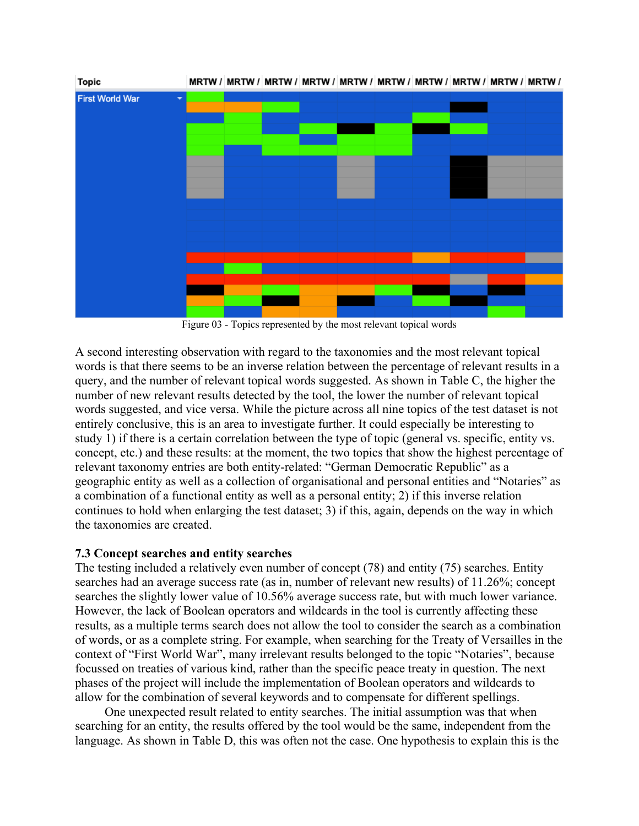

Figure 03 - Topics represented by the most relevant topical words

A second interesting observation with regard to the taxonomies and the most relevant topical words is that there seems to be an inverse relation between the percentage of relevant results in a query, and the number of relevant topical words suggested. As shown in Table C, the higher the number of new relevant results detected by the tool, the lower the number of relevant topical words suggested, and vice versa. While the picture across all nine topics of the test dataset is not entirely conclusive, this is an area to investigate further. It could especially be interesting to study 1) if there is a certain correlation between the type of topic (general vs. specific, entity vs. concept, etc.) and these results: at the moment, the two topics that show the highest percentage of relevant taxonomy entries are both entity-related: "German Democratic Republic" as a geographic entity as well as a collection of organisational and personal entities and "Notaries" as a combination of a functional entity as well as a personal entity; 2) if this inverse relation continues to hold when enlarging the test dataset; 3) if this, again, depends on the way in which the taxonomies are created.

# **7.3 Concept searches and entity searches**

The testing included a relatively even number of concept (78) and entity (75) searches. Entity searches had an average success rate (as in, number of relevant new results) of 11.26%; concept searches the slightly lower value of 10.56% average success rate, but with much lower variance. However, the lack of Boolean operators and wildcards in the tool is currently affecting these results, as a multiple terms search does not allow the tool to consider the search as a combination of words, or as a complete string. For example, when searching for the Treaty of Versailles in the context of "First World War", many irrelevant results belonged to the topic "Notaries", because focussed on treaties of various kind, rather than the specific peace treaty in question. The next phases of the project will include the implementation of Boolean operators and wildcards to allow for the combination of several keywords and to compensate for different spellings.

One unexpected result related to entity searches. The initial assumption was that when searching for an entity, the results offered by the tool would be the same, independent from the language. As shown in Table D, this was often not the case. One hypothesis to explain this is the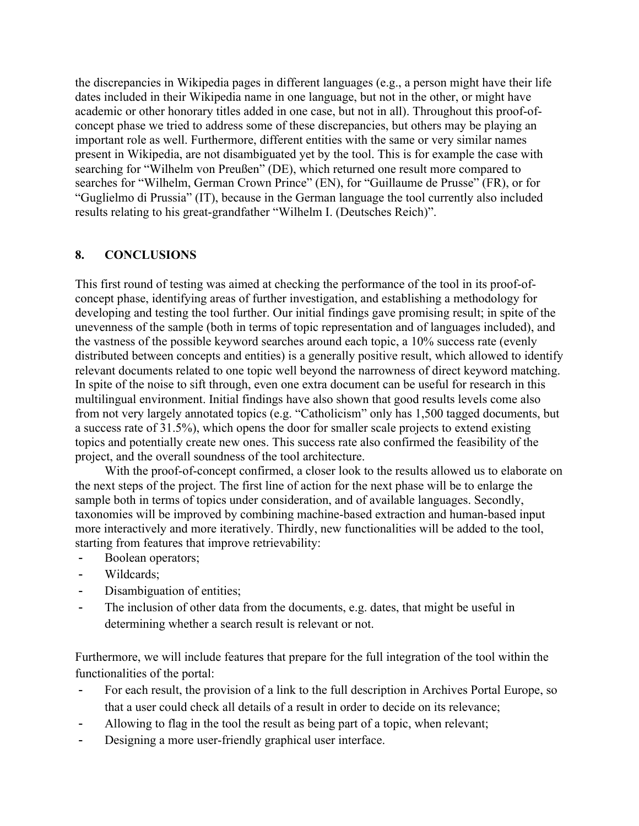the discrepancies in Wikipedia pages in different languages (e.g., a person might have their life dates included in their Wikipedia name in one language, but not in the other, or might have academic or other honorary titles added in one case, but not in all). Throughout this proof-ofconcept phase we tried to address some of these discrepancies, but others may be playing an important role as well. Furthermore, different entities with the same or very similar names present in Wikipedia, are not disambiguated yet by the tool. This is for example the case with searching for "Wilhelm von Preußen" (DE), which returned one result more compared to searches for "Wilhelm, German Crown Prince" (EN), for "Guillaume de Prusse" (FR), or for "Guglielmo di Prussia" (IT), because in the German language the tool currently also included results relating to his great-grandfather "Wilhelm I. (Deutsches Reich)".

## **8. CONCLUSIONS**

This first round of testing was aimed at checking the performance of the tool in its proof-ofconcept phase, identifying areas of further investigation, and establishing a methodology for developing and testing the tool further. Our initial findings gave promising result; in spite of the unevenness of the sample (both in terms of topic representation and of languages included), and the vastness of the possible keyword searches around each topic, a 10% success rate (evenly distributed between concepts and entities) is a generally positive result, which allowed to identify relevant documents related to one topic well beyond the narrowness of direct keyword matching. In spite of the noise to sift through, even one extra document can be useful for research in this multilingual environment. Initial findings have also shown that good results levels come also from not very largely annotated topics (e.g. "Catholicism" only has 1,500 tagged documents, but a success rate of 31.5%), which opens the door for smaller scale projects to extend existing topics and potentially create new ones. This success rate also confirmed the feasibility of the project, and the overall soundness of the tool architecture.

With the proof-of-concept confirmed, a closer look to the results allowed us to elaborate on the next steps of the project. The first line of action for the next phase will be to enlarge the sample both in terms of topics under consideration, and of available languages. Secondly, taxonomies will be improved by combining machine-based extraction and human-based input more interactively and more iteratively. Thirdly, new functionalities will be added to the tool, starting from features that improve retrievability:

- Boolean operators;
- Wildcards;
- Disambiguation of entities;
- The inclusion of other data from the documents, e.g. dates, that might be useful in determining whether a search result is relevant or not.

Furthermore, we will include features that prepare for the full integration of the tool within the functionalities of the portal:

- For each result, the provision of a link to the full description in Archives Portal Europe, so that a user could check all details of a result in order to decide on its relevance;
- Allowing to flag in the tool the result as being part of a topic, when relevant;
- Designing a more user-friendly graphical user interface.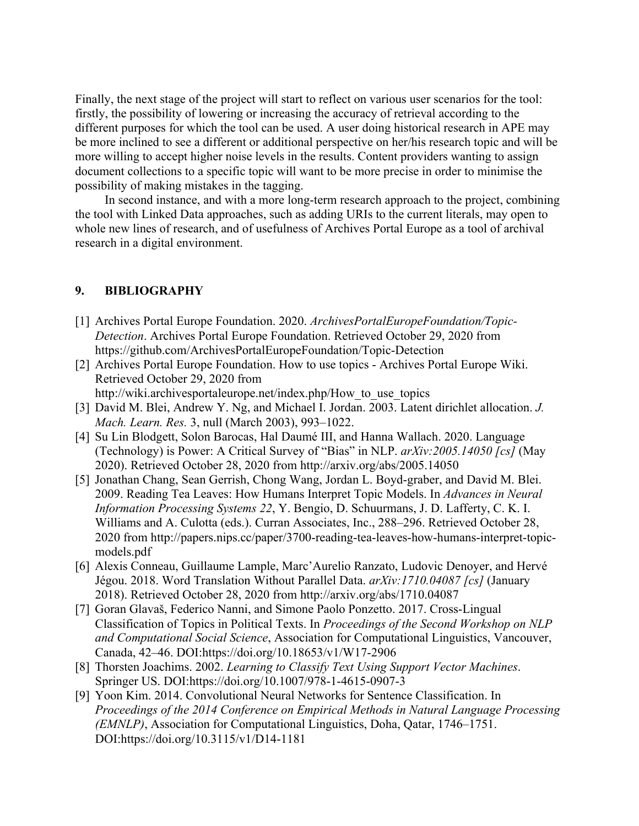Finally, the next stage of the project will start to reflect on various user scenarios for the tool: firstly, the possibility of lowering or increasing the accuracy of retrieval according to the different purposes for which the tool can be used. A user doing historical research in APE may be more inclined to see a different or additional perspective on her/his research topic and will be more willing to accept higher noise levels in the results. Content providers wanting to assign document collections to a specific topic will want to be more precise in order to minimise the possibility of making mistakes in the tagging.

In second instance, and with a more long-term research approach to the project, combining the tool with Linked Data approaches, such as adding URIs to the current literals, may open to whole new lines of research, and of usefulness of Archives Portal Europe as a tool of archival research in a digital environment.

### **9. BIBLIOGRAPHY**

- [1] Archives Portal Europe Foundation. 2020. *ArchivesPortalEuropeFoundation/Topic-Detection*. Archives Portal Europe Foundation. Retrieved October 29, 2020 from https://github.com/ArchivesPortalEuropeFoundation/Topic-Detection
- [2] Archives Portal Europe Foundation. How to use topics Archives Portal Europe Wiki. Retrieved October 29, 2020 from http://wiki.archivesportaleurope.net/index.php/How\_to\_use\_topics
- [3] David M. Blei, Andrew Y. Ng, and Michael I. Jordan. 2003. Latent dirichlet allocation. *J. Mach. Learn. Res.* 3, null (March 2003), 993–1022.
- [4] Su Lin Blodgett, Solon Barocas, Hal Daumé III, and Hanna Wallach. 2020. Language (Technology) is Power: A Critical Survey of "Bias" in NLP. *arXiv:2005.14050 [cs]* (May 2020). Retrieved October 28, 2020 from http://arxiv.org/abs/2005.14050
- [5] Jonathan Chang, Sean Gerrish, Chong Wang, Jordan L. Boyd-graber, and David M. Blei. 2009. Reading Tea Leaves: How Humans Interpret Topic Models. In *Advances in Neural Information Processing Systems 22*, Y. Bengio, D. Schuurmans, J. D. Lafferty, C. K. I. Williams and A. Culotta (eds.). Curran Associates, Inc., 288–296. Retrieved October 28, 2020 from http://papers.nips.cc/paper/3700-reading-tea-leaves-how-humans-interpret-topicmodels.pdf
- [6] Alexis Conneau, Guillaume Lample, Marc'Aurelio Ranzato, Ludovic Denoyer, and Hervé Jégou. 2018. Word Translation Without Parallel Data. *arXiv:1710.04087 [cs]* (January 2018). Retrieved October 28, 2020 from http://arxiv.org/abs/1710.04087
- [7] Goran Glavaš, Federico Nanni, and Simone Paolo Ponzetto. 2017. Cross-Lingual Classification of Topics in Political Texts. In *Proceedings of the Second Workshop on NLP and Computational Social Science*, Association for Computational Linguistics, Vancouver, Canada, 42–46. DOI:https://doi.org/10.18653/v1/W17-2906
- [8] Thorsten Joachims. 2002. *Learning to Classify Text Using Support Vector Machines*. Springer US. DOI:https://doi.org/10.1007/978-1-4615-0907-3
- [9] Yoon Kim. 2014. Convolutional Neural Networks for Sentence Classification. In *Proceedings of the 2014 Conference on Empirical Methods in Natural Language Processing (EMNLP)*, Association for Computational Linguistics, Doha, Qatar, 1746–1751. DOI:https://doi.org/10.3115/v1/D14-1181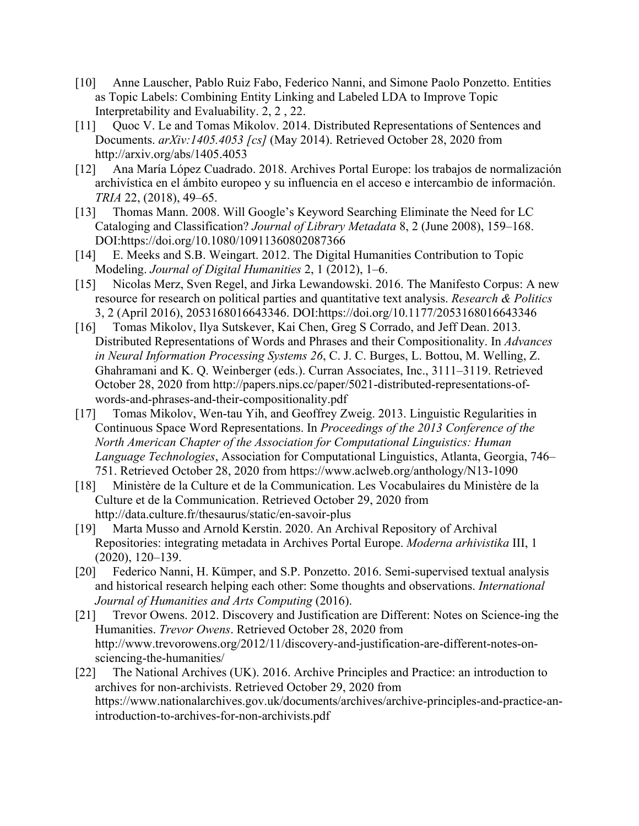- [10] Anne Lauscher, Pablo Ruiz Fabo, Federico Nanni, and Simone Paolo Ponzetto. Entities as Topic Labels: Combining Entity Linking and Labeled LDA to Improve Topic Interpretability and Evaluability. 2, 2 , 22.
- [11] Quoc V. Le and Tomas Mikolov. 2014. Distributed Representations of Sentences and Documents. *arXiv:1405.4053 [cs]* (May 2014). Retrieved October 28, 2020 from http://arxiv.org/abs/1405.4053
- [12] Ana María López Cuadrado. 2018. Archives Portal Europe: los trabajos de normalización archivística en el ámbito europeo y su influencia en el acceso e intercambio de información. *TRIA* 22, (2018), 49–65.
- [13] Thomas Mann. 2008. Will Google's Keyword Searching Eliminate the Need for LC Cataloging and Classification? *Journal of Library Metadata* 8, 2 (June 2008), 159–168. DOI:https://doi.org/10.1080/10911360802087366
- [14] E. Meeks and S.B. Weingart. 2012. The Digital Humanities Contribution to Topic Modeling. *Journal of Digital Humanities* 2, 1 (2012), 1–6.
- [15] Nicolas Merz, Sven Regel, and Jirka Lewandowski. 2016. The Manifesto Corpus: A new resource for research on political parties and quantitative text analysis. *Research & Politics* 3, 2 (April 2016), 2053168016643346. DOI:https://doi.org/10.1177/2053168016643346
- [16] Tomas Mikolov, Ilya Sutskever, Kai Chen, Greg S Corrado, and Jeff Dean. 2013. Distributed Representations of Words and Phrases and their Compositionality. In *Advances in Neural Information Processing Systems 26*, C. J. C. Burges, L. Bottou, M. Welling, Z. Ghahramani and K. Q. Weinberger (eds.). Curran Associates, Inc., 3111–3119. Retrieved October 28, 2020 from http://papers.nips.cc/paper/5021-distributed-representations-ofwords-and-phrases-and-their-compositionality.pdf
- [17] Tomas Mikolov, Wen-tau Yih, and Geoffrey Zweig. 2013. Linguistic Regularities in Continuous Space Word Representations. In *Proceedings of the 2013 Conference of the North American Chapter of the Association for Computational Linguistics: Human Language Technologies*, Association for Computational Linguistics, Atlanta, Georgia, 746– 751. Retrieved October 28, 2020 from https://www.aclweb.org/anthology/N13-1090
- [18] Ministère de la Culture et de la Communication. Les Vocabulaires du Ministère de la Culture et de la Communication. Retrieved October 29, 2020 from http://data.culture.fr/thesaurus/static/en-savoir-plus
- [19] Marta Musso and Arnold Kerstin. 2020. An Archival Repository of Archival Repositories: integrating metadata in Archives Portal Europe. *Moderna arhivistika* III, 1 (2020), 120–139.
- [20] Federico Nanni, H. Kümper, and S.P. Ponzetto. 2016. Semi-supervised textual analysis and historical research helping each other: Some thoughts and observations. *International Journal of Humanities and Arts Computing* (2016).
- [21] Trevor Owens. 2012. Discovery and Justification are Different: Notes on Science-ing the Humanities. *Trevor Owens*. Retrieved October 28, 2020 from http://www.trevorowens.org/2012/11/discovery-and-justification-are-different-notes-onsciencing-the-humanities/
- [22] The National Archives (UK). 2016. Archive Principles and Practice: an introduction to archives for non-archivists. Retrieved October 29, 2020 from https://www.nationalarchives.gov.uk/documents/archives/archive-principles-and-practice-anintroduction-to-archives-for-non-archivists.pdf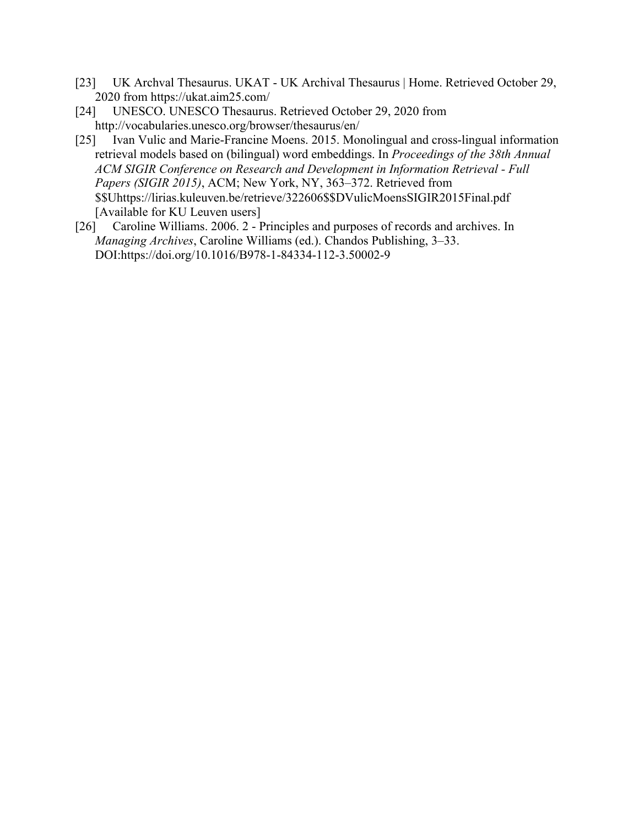- [23] UK Archval Thesaurus. UKAT UK Archival Thesaurus | Home. Retrieved October 29, 2020 from https://ukat.aim25.com/
- [24] UNESCO. UNESCO Thesaurus. Retrieved October 29, 2020 from http://vocabularies.unesco.org/browser/thesaurus/en/
- [25] Ivan Vulic and Marie-Francine Moens. 2015. Monolingual and cross-lingual information retrieval models based on (bilingual) word embeddings. In *Proceedings of the 38th Annual ACM SIGIR Conference on Research and Development in Information Retrieval - Full Papers (SIGIR 2015)*, ACM; New York, NY, 363–372. Retrieved from \$\$Uhttps://lirias.kuleuven.be/retrieve/322606\$\$DVulicMoensSIGIR2015Final.pdf [Available for KU Leuven users]
- [26] Caroline Williams. 2006. 2 Principles and purposes of records and archives. In *Managing Archives*, Caroline Williams (ed.). Chandos Publishing, 3–33. DOI:https://doi.org/10.1016/B978-1-84334-112-3.50002-9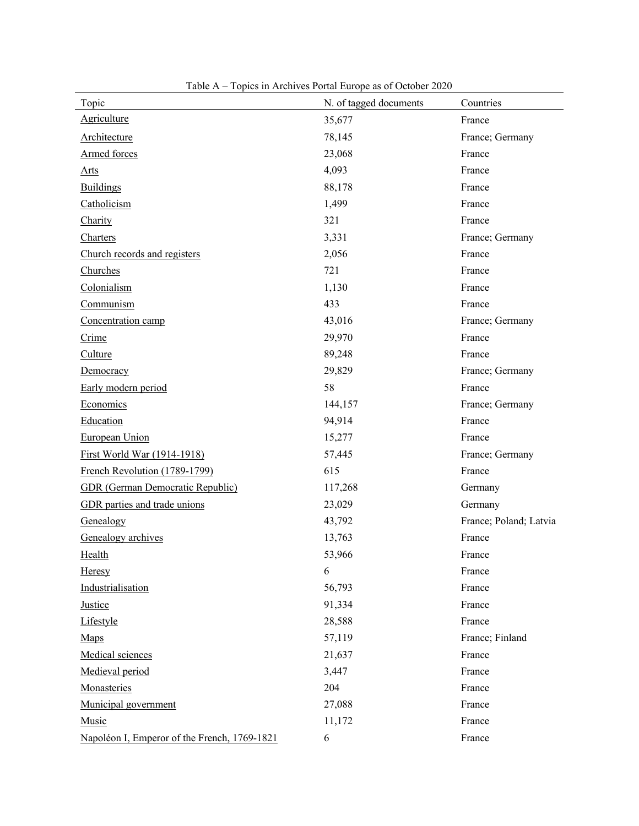| Topic                                        | N. of tagged documents | Countries              |
|----------------------------------------------|------------------------|------------------------|
| Agriculture                                  | 35,677                 | France                 |
| Architecture                                 | 78,145                 | France; Germany        |
| Armed forces                                 | 23,068                 | France                 |
| Arts                                         | 4,093                  | France                 |
| <b>Buildings</b>                             | 88,178                 | France                 |
| Catholicism                                  | 1,499                  | France                 |
| Charity                                      | 321                    | France                 |
| Charters                                     | 3,331                  | France; Germany        |
| Church records and registers                 | 2,056                  | France                 |
| Churches                                     | 721                    | France                 |
| Colonialism                                  | 1,130                  | France                 |
| Communism                                    | 433                    | France                 |
| Concentration camp                           | 43,016                 | France; Germany        |
| Crime                                        | 29,970                 | France                 |
| Culture                                      | 89,248                 | France                 |
| Democracy                                    | 29,829                 | France; Germany        |
| Early modern period                          | 58                     | France                 |
| Economics                                    | 144,157                | France; Germany        |
| Education                                    | 94,914                 | France                 |
| European Union                               | 15,277                 | France                 |
| First World War (1914-1918)                  | 57,445                 | France; Germany        |
| French Revolution (1789-1799)                | 615                    | France                 |
| <b>GDR</b> (German Democratic Republic)      | 117,268                | Germany                |
| GDR parties and trade unions                 | 23,029                 | Germany                |
| Genealogy                                    | 43,792                 | France; Poland; Latvia |
| Genealogy archives                           | 13,763                 | France                 |
| Health                                       | 53,966                 | France                 |
| Heresy                                       | 6                      | France                 |
| Industrialisation                            | 56,793                 | France                 |
| Justice                                      | 91,334                 | France                 |
| Lifestyle                                    | 28,588                 | France                 |
| Maps                                         | 57,119                 | France; Finland        |
| Medical sciences                             | 21,637                 | France                 |
| Medieval period                              | 3,447                  | France                 |
| Monasteries                                  | 204                    | France                 |
| Municipal government                         | 27,088                 | France                 |
| Music                                        | 11,172                 | France                 |
| Napoléon I, Emperor of the French, 1769-1821 | 6                      | France                 |

Table A – Topics in Archives Portal Europe as of October 2020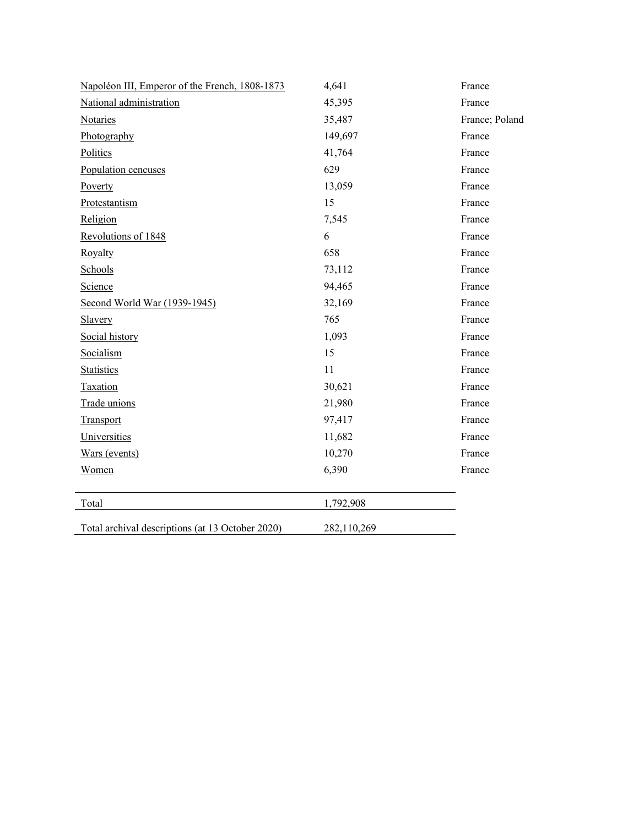| Napoléon III, Emperor of the French, 1808-1873   | 4,641       | France         |
|--------------------------------------------------|-------------|----------------|
| National administration                          | 45,395      | France         |
| <b>Notaries</b>                                  | 35,487      | France; Poland |
| Photography                                      | 149,697     | France         |
| Politics                                         | 41,764      | France         |
| Population cencuses                              | 629         | France         |
| Poverty                                          | 13,059      | France         |
| Protestantism                                    | 15          | France         |
| Religion                                         | 7,545       | France         |
| Revolutions of 1848                              | 6           | France         |
| Royalty                                          | 658         | France         |
| Schools                                          | 73,112      | France         |
| Science                                          | 94,465      | France         |
| Second World War (1939-1945)                     | 32,169      | France         |
| Slavery                                          | 765         | France         |
| Social history                                   | 1,093       | France         |
| Socialism                                        | 15          | France         |
| <b>Statistics</b>                                | 11          | France         |
| Taxation                                         | 30,621      | France         |
| Trade unions                                     | 21,980      | France         |
| Transport                                        | 97,417      | France         |
| Universities                                     | 11,682      | France         |
| Wars (events)                                    | 10,270      | France         |
| Women                                            | 6,390       | France         |
| Total                                            | 1,792,908   |                |
| Total archival descriptions (at 13 October 2020) | 282,110,269 |                |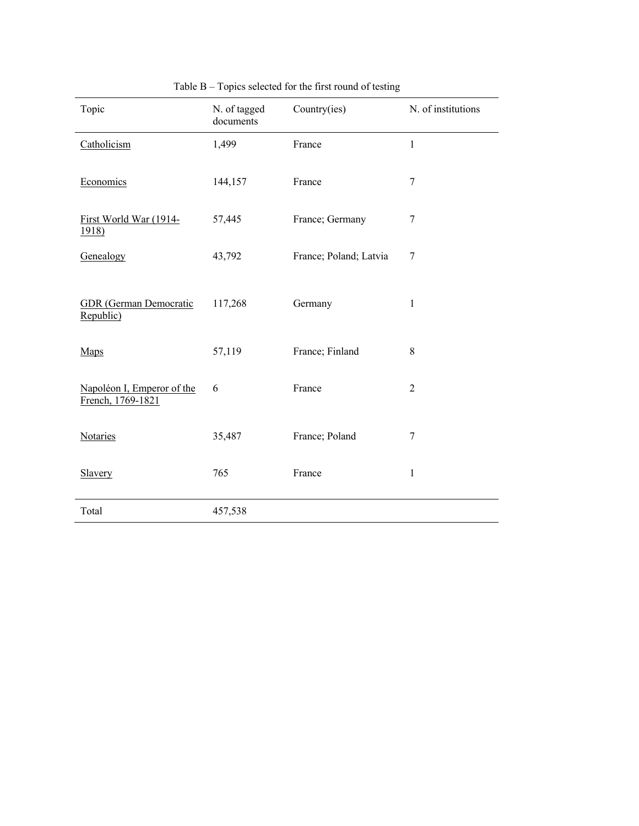| Topic                                           | N. of tagged<br>documents | Country(ies)           | N. of institutions |
|-------------------------------------------------|---------------------------|------------------------|--------------------|
| Catholicism                                     | 1,499                     | France                 | $\mathbf{1}$       |
| Economics                                       | 144,157                   | France                 | $\overline{7}$     |
| First World War (1914-<br>1918)                 | 57,445                    | France; Germany        | 7                  |
| Genealogy                                       | 43,792                    | France; Poland; Latvia | 7                  |
| <b>GDR</b> (German Democratic<br>Republic)      | 117,268                   | Germany                | $\mathbf{1}$       |
| Maps                                            | 57,119                    | France; Finland        | $8\,$              |
| Napoléon I, Emperor of the<br>French, 1769-1821 | 6                         | France                 | $\overline{2}$     |
| Notaries                                        | 35,487                    | France; Poland         | 7                  |
| Slavery                                         | 765                       | France                 | $\mathbf{1}$       |
| Total                                           | 457,538                   |                        |                    |

Table B – Topics selected for the first round of testing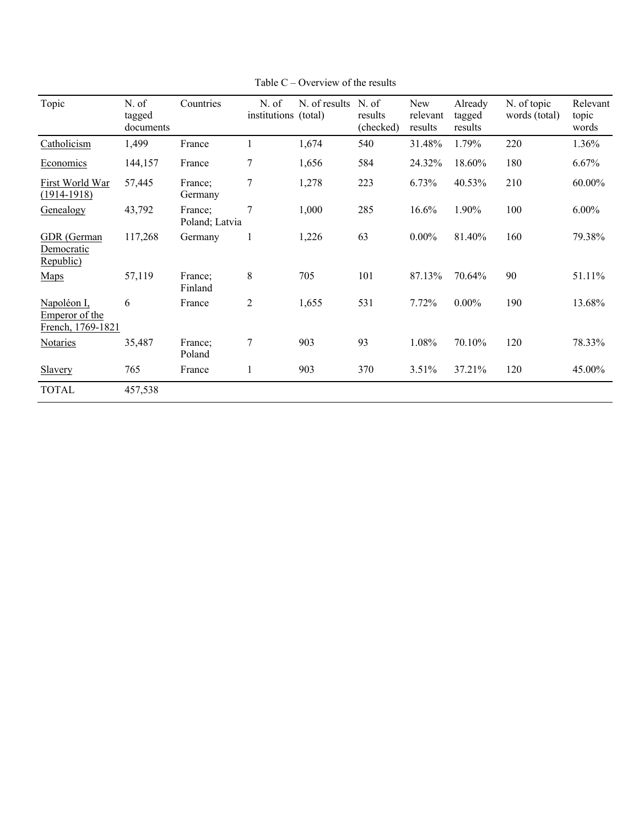| Topic                                              | N. of<br>tagged<br>documents | Countries                 | N. of<br>institutions (total) | N. of results | N. of<br>results<br>(checked) | <b>New</b><br>relevant<br>results | Already<br>tagged<br>results | N. of topic<br>words (total) | Relevant<br>topic<br>words |
|----------------------------------------------------|------------------------------|---------------------------|-------------------------------|---------------|-------------------------------|-----------------------------------|------------------------------|------------------------------|----------------------------|
| Catholicism                                        | 1,499                        | France                    |                               | 1,674         | 540                           | 31.48%                            | 1.79%                        | 220                          | 1.36%                      |
| Economics                                          | 144,157                      | France                    | 7                             | 1,656         | 584                           | 24.32%                            | 18.60%                       | 180                          | 6.67%                      |
| First World War<br>$(1914 - 1918)$                 | 57,445                       | France;<br>Germany        | 7                             | 1,278         | 223                           | 6.73%                             | 40.53%                       | 210                          | 60.00%                     |
| Genealogy                                          | 43,792                       | France;<br>Poland; Latvia | 7                             | 1,000         | 285                           | 16.6%                             | 1.90%                        | 100                          | $6.00\%$                   |
| GDR (German<br>Democratic<br>Republic)             | 117,268                      | Germany                   | 1                             | 1,226         | 63                            | $0.00\%$                          | 81.40%                       | 160                          | 79.38%                     |
| Maps                                               | 57,119                       | France:<br>Finland        | 8                             | 705           | 101                           | 87.13%                            | 70.64%                       | 90                           | 51.11%                     |
| Napoléon I,<br>Emperor of the<br>French, 1769-1821 | 6                            | France                    | $\overline{2}$                | 1,655         | 531                           | 7.72%                             | $0.00\%$                     | 190                          | 13.68%                     |
| Notaries                                           | 35,487                       | France:<br>Poland         | $\overline{7}$                | 903           | 93                            | 1.08%                             | 70.10%                       | 120                          | 78.33%                     |
| Slavery                                            | 765                          | France                    | 1                             | 903           | 370                           | 3.51%                             | 37.21%                       | 120                          | 45.00%                     |
| <b>TOTAL</b>                                       | 457,538                      |                           |                               |               |                               |                                   |                              |                              |                            |

Table C – Overview of the results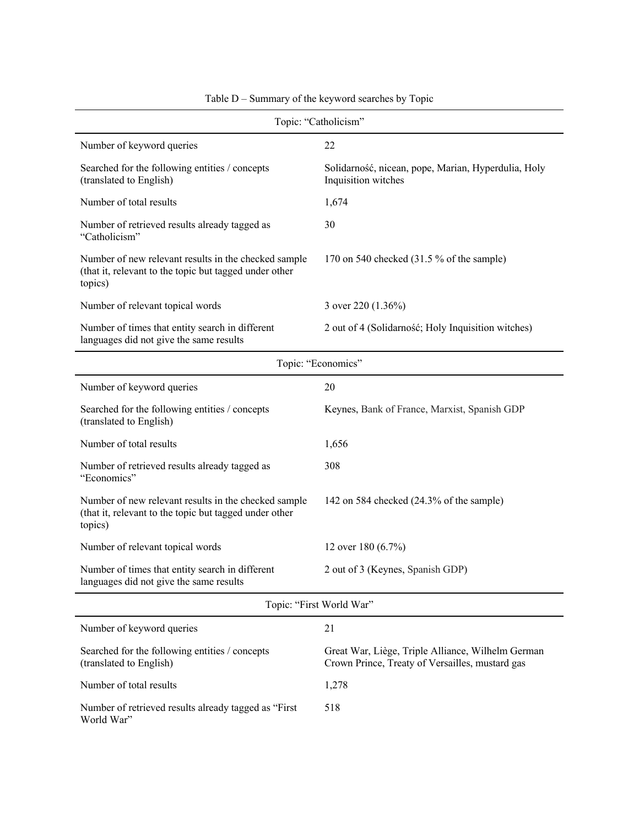| Topic: "Catholicism"                                                                                                      |                                                                                                      |  |  |  |
|---------------------------------------------------------------------------------------------------------------------------|------------------------------------------------------------------------------------------------------|--|--|--|
| Number of keyword queries                                                                                                 | 22                                                                                                   |  |  |  |
| Searched for the following entities / concepts<br>(translated to English)                                                 | Solidarność, nicean, pope, Marian, Hyperdulia, Holy<br>Inquisition witches                           |  |  |  |
| Number of total results                                                                                                   | 1,674                                                                                                |  |  |  |
| Number of retrieved results already tagged as<br>"Catholicism"                                                            | 30                                                                                                   |  |  |  |
| Number of new relevant results in the checked sample<br>(that it, relevant to the topic but tagged under other<br>topics) | 170 on 540 checked $(31.5 %$ of the sample)                                                          |  |  |  |
| Number of relevant topical words                                                                                          | 3 over 220 (1.36%)                                                                                   |  |  |  |
| Number of times that entity search in different<br>languages did not give the same results                                | 2 out of 4 (Solidarność; Holy Inquisition witches)                                                   |  |  |  |
|                                                                                                                           | Topic: "Economics"                                                                                   |  |  |  |
| Number of keyword queries                                                                                                 | 20                                                                                                   |  |  |  |
| Searched for the following entities / concepts<br>(translated to English)                                                 | Keynes, Bank of France, Marxist, Spanish GDP                                                         |  |  |  |
| Number of total results                                                                                                   | 1,656                                                                                                |  |  |  |
| Number of retrieved results already tagged as<br>"Economics"                                                              | 308                                                                                                  |  |  |  |
| Number of new relevant results in the checked sample<br>(that it, relevant to the topic but tagged under other<br>topics) | 142 on 584 checked (24.3% of the sample)                                                             |  |  |  |
| Number of relevant topical words                                                                                          | 12 over $180(6.7\%)$                                                                                 |  |  |  |
| Number of times that entity search in different<br>languages did not give the same results                                | 2 out of 3 (Keynes, Spanish GDP)                                                                     |  |  |  |
|                                                                                                                           | Topic: "First World War"                                                                             |  |  |  |
| Number of keyword queries                                                                                                 | 21                                                                                                   |  |  |  |
| Searched for the following entities / concepts<br>(translated to English)                                                 | Great War, Liège, Triple Alliance, Wilhelm German<br>Crown Prince, Treaty of Versailles, mustard gas |  |  |  |
| Number of total results                                                                                                   | 1,278                                                                                                |  |  |  |
| Number of retrieved results already tagged as "First<br>World War"                                                        | 518                                                                                                  |  |  |  |

# Table D – Summary of the keyword searches by Topic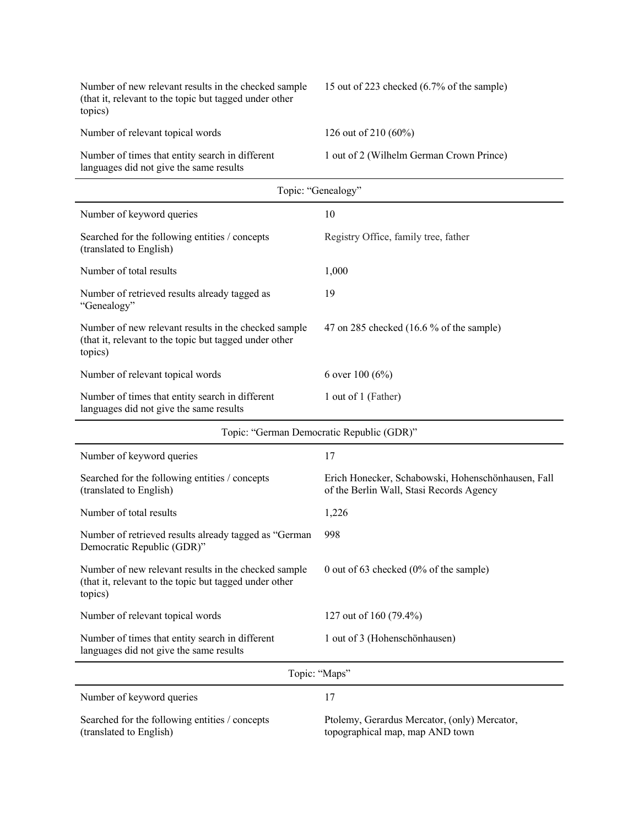| Number of new relevant results in the checked sample<br>(that it, relevant to the topic but tagged under other<br>topics) | 15 out of 223 checked (6.7% of the sample)                                                     |  |  |  |  |
|---------------------------------------------------------------------------------------------------------------------------|------------------------------------------------------------------------------------------------|--|--|--|--|
| Number of relevant topical words                                                                                          | 126 out of 210 (60%)                                                                           |  |  |  |  |
| Number of times that entity search in different<br>languages did not give the same results                                | 1 out of 2 (Wilhelm German Crown Prince)                                                       |  |  |  |  |
| Topic: "Genealogy"                                                                                                        |                                                                                                |  |  |  |  |
| Number of keyword queries                                                                                                 | 10                                                                                             |  |  |  |  |
| Searched for the following entities / concepts<br>(translated to English)                                                 | Registry Office, family tree, father                                                           |  |  |  |  |
| Number of total results                                                                                                   | 1,000                                                                                          |  |  |  |  |
| Number of retrieved results already tagged as<br>"Genealogy"                                                              | 19                                                                                             |  |  |  |  |
| Number of new relevant results in the checked sample<br>(that it, relevant to the topic but tagged under other<br>topics) | 47 on 285 checked $(16.6 %$ of the sample)                                                     |  |  |  |  |
| Number of relevant topical words                                                                                          | 6 over $100(6%)$                                                                               |  |  |  |  |
| Number of times that entity search in different<br>languages did not give the same results                                | 1 out of 1 (Father)                                                                            |  |  |  |  |
|                                                                                                                           | Topic: "German Democratic Republic (GDR)"                                                      |  |  |  |  |
| Number of keyword queries                                                                                                 | 17                                                                                             |  |  |  |  |
| Searched for the following entities / concepts<br>(translated to English)                                                 | Erich Honecker, Schabowski, Hohenschönhausen, Fall<br>of the Berlin Wall, Stasi Records Agency |  |  |  |  |
| Number of total results                                                                                                   | 1,226                                                                                          |  |  |  |  |
| Number of retrieved results already tagged as "German<br>Democratic Republic (GDR)"                                       | 998                                                                                            |  |  |  |  |
| Number of new relevant results in the checked sample<br>(that it, relevant to the topic but tagged under other<br>topics) | 0 out of 63 checked $(0\%$ of the sample)                                                      |  |  |  |  |
| Number of relevant topical words                                                                                          | 127 out of 160 (79.4%)                                                                         |  |  |  |  |
| Number of times that entity search in different<br>languages did not give the same results                                | 1 out of 3 (Hohenschönhausen)                                                                  |  |  |  |  |
|                                                                                                                           | Topic: "Maps"                                                                                  |  |  |  |  |
| Number of keyword queries                                                                                                 | 17                                                                                             |  |  |  |  |
| Searched for the following entities / concepts<br>(translated to English)                                                 | Ptolemy, Gerardus Mercator, (only) Mercator,<br>topographical map, map AND town                |  |  |  |  |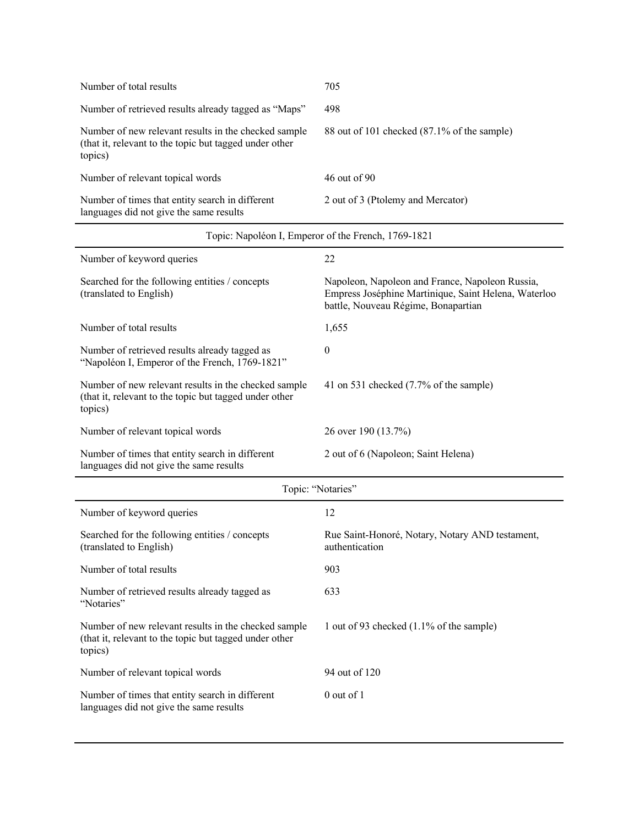| Number of total results                                                                                                   | 705                                         |
|---------------------------------------------------------------------------------------------------------------------------|---------------------------------------------|
| Number of retrieved results already tagged as "Maps"                                                                      | 498                                         |
| Number of new relevant results in the checked sample<br>(that it, relevant to the topic but tagged under other<br>topics) | 88 out of 101 checked (87.1% of the sample) |
| Number of relevant topical words                                                                                          | 46 out of 90                                |
| Number of times that entity search in different<br>languages did not give the same results                                | 2 out of 3 (Ptolemy and Mercator)           |

| TOPIC. INAPORTUIT, EMPEROR OF THE PREMIUM, $1/07-1021$                                                                    |                                                                                                                                                |  |  |  |
|---------------------------------------------------------------------------------------------------------------------------|------------------------------------------------------------------------------------------------------------------------------------------------|--|--|--|
| Number of keyword queries                                                                                                 | 22                                                                                                                                             |  |  |  |
| Searched for the following entities / concepts<br>(translated to English)                                                 | Napoleon, Napoleon and France, Napoleon Russia,<br>Empress Joséphine Martinique, Saint Helena, Waterloo<br>battle, Nouveau Régime, Bonapartian |  |  |  |
| Number of total results                                                                                                   | 1,655                                                                                                                                          |  |  |  |
| Number of retrieved results already tagged as<br>"Napoléon I, Emperor of the French, 1769-1821"                           | $\theta$                                                                                                                                       |  |  |  |
| Number of new relevant results in the checked sample<br>(that it, relevant to the topic but tagged under other<br>topics) | 41 on 531 checked (7.7% of the sample)                                                                                                         |  |  |  |
| Number of relevant topical words                                                                                          | 26 over 190 (13.7%)                                                                                                                            |  |  |  |
| Number of times that entity search in different<br>languages did not give the same results                                | 2 out of 6 (Napoleon; Saint Helena)                                                                                                            |  |  |  |

| Topic: "Notaries"                                                                                                         |                                                                   |  |  |  |
|---------------------------------------------------------------------------------------------------------------------------|-------------------------------------------------------------------|--|--|--|
| Number of keyword queries                                                                                                 | 12                                                                |  |  |  |
| Searched for the following entities / concepts<br>(translated to English)                                                 | Rue Saint-Honoré, Notary, Notary AND testament,<br>authentication |  |  |  |
| Number of total results                                                                                                   | 903                                                               |  |  |  |
| Number of retrieved results already tagged as<br>"Notaries"                                                               | 633                                                               |  |  |  |
| Number of new relevant results in the checked sample<br>(that it, relevant to the topic but tagged under other<br>topics) | 1 out of 93 checked $(1.1\%$ of the sample)                       |  |  |  |
| Number of relevant topical words                                                                                          | 94 out of 120                                                     |  |  |  |
| Number of times that entity search in different<br>languages did not give the same results                                | $0$ out of 1                                                      |  |  |  |

Topic: Napoléon I, Emperor of the French, 1769-1821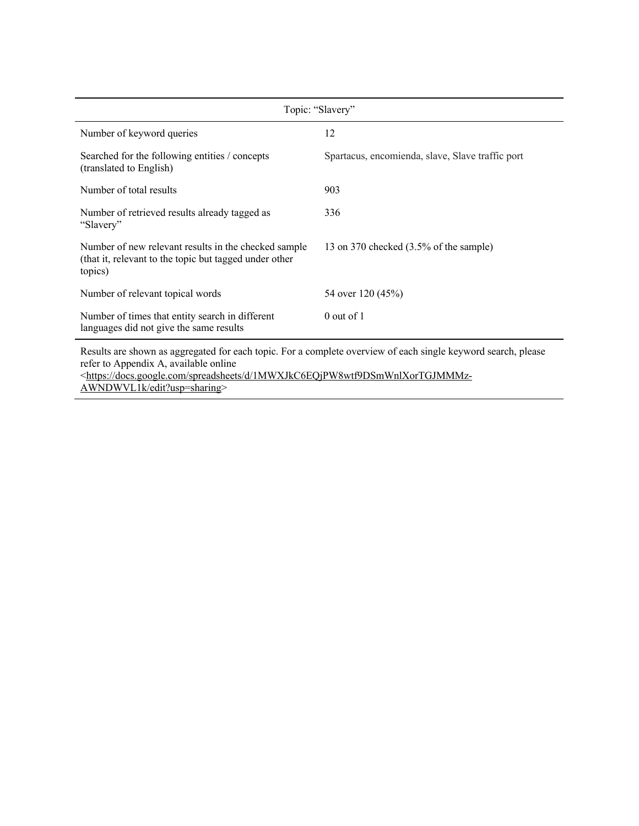| Topic: "Slavery"                                                                                                                                                                                                                                                 |                                                  |  |  |  |
|------------------------------------------------------------------------------------------------------------------------------------------------------------------------------------------------------------------------------------------------------------------|--------------------------------------------------|--|--|--|
| Number of keyword queries                                                                                                                                                                                                                                        | 12                                               |  |  |  |
| Searched for the following entities / concepts<br>(translated to English)                                                                                                                                                                                        | Spartacus, encomienda, slave, Slave traffic port |  |  |  |
| Number of total results                                                                                                                                                                                                                                          | 903                                              |  |  |  |
| Number of retrieved results already tagged as<br>"Slavery"                                                                                                                                                                                                       | 336                                              |  |  |  |
| Number of new relevant results in the checked sample<br>(that it, relevant to the topic but tagged under other<br>topics)                                                                                                                                        | 13 on 370 checked $(3.5\%$ of the sample)        |  |  |  |
| Number of relevant topical words                                                                                                                                                                                                                                 | 54 over 120 (45%)                                |  |  |  |
| Number of times that entity search in different<br>languages did not give the same results                                                                                                                                                                       | $0$ out of 1                                     |  |  |  |
| Results are shown as aggregated for each topic. For a complete overview of each single keyword search, please<br>refer to Appendix A, available online<br><https: 1mwxjkc6eqjpw8wtf9dsmwnlxortgjmmmz<="" d="" docs.google.com="" spreadsheets="" td=""></https:> |                                                  |  |  |  |

AWNDWVL1k/edit?usp=sharing>